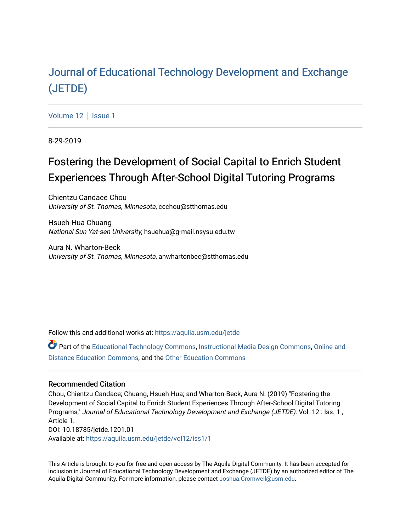## Journal of Educational T[echnology Development and Ex](https://aquila.usm.edu/jetde)change [\(JETDE\)](https://aquila.usm.edu/jetde)

[Volume 12](https://aquila.usm.edu/jetde/vol12) | [Issue 1](https://aquila.usm.edu/jetde/vol12/iss1)

8-29-2019

# Fostering the Development of Social Capital to Enrich Student Experiences Through After-School Digital Tutoring Programs

Chientzu Candace Chou University of St. Thomas, Minnesota, ccchou@stthomas.edu

Hsueh-Hua Chuang National Sun Yat-sen University, hsuehua@g-mail.nsysu.edu.tw

Aura N. Wharton-Beck University of St. Thomas, Minnesota, anwhartonbec@stthomas.edu

Follow this and additional works at: [https://aquila.usm.edu/jetde](https://aquila.usm.edu/jetde?utm_source=aquila.usm.edu%2Fjetde%2Fvol12%2Fiss1%2F1&utm_medium=PDF&utm_campaign=PDFCoverPages)

Part of the [Educational Technology Commons,](http://network.bepress.com/hgg/discipline/1415?utm_source=aquila.usm.edu%2Fjetde%2Fvol12%2Fiss1%2F1&utm_medium=PDF&utm_campaign=PDFCoverPages) [Instructional Media Design Commons](http://network.bepress.com/hgg/discipline/795?utm_source=aquila.usm.edu%2Fjetde%2Fvol12%2Fiss1%2F1&utm_medium=PDF&utm_campaign=PDFCoverPages), [Online and](http://network.bepress.com/hgg/discipline/1296?utm_source=aquila.usm.edu%2Fjetde%2Fvol12%2Fiss1%2F1&utm_medium=PDF&utm_campaign=PDFCoverPages)  [Distance Education Commons](http://network.bepress.com/hgg/discipline/1296?utm_source=aquila.usm.edu%2Fjetde%2Fvol12%2Fiss1%2F1&utm_medium=PDF&utm_campaign=PDFCoverPages), and the [Other Education Commons](http://network.bepress.com/hgg/discipline/811?utm_source=aquila.usm.edu%2Fjetde%2Fvol12%2Fiss1%2F1&utm_medium=PDF&utm_campaign=PDFCoverPages) 

#### Recommended Citation

Chou, Chientzu Candace; Chuang, Hsueh-Hua; and Wharton-Beck, Aura N. (2019) "Fostering the Development of Social Capital to Enrich Student Experiences Through After-School Digital Tutoring Programs," Journal of Educational Technology Development and Exchange (JETDE): Vol. 12 : Iss. 1 , Article 1. DOI: 10.18785/jetde.1201.01 Available at: [https://aquila.usm.edu/jetde/vol12/iss1/1](https://aquila.usm.edu/jetde/vol12/iss1/1?utm_source=aquila.usm.edu%2Fjetde%2Fvol12%2Fiss1%2F1&utm_medium=PDF&utm_campaign=PDFCoverPages)

This Article is brought to you for free and open access by The Aquila Digital Community. It has been accepted for inclusion in Journal of Educational Technology Development and Exchange (JETDE) by an authorized editor of The Aquila Digital Community. For more information, please contact [Joshua.Cromwell@usm.edu](mailto:Joshua.Cromwell@usm.edu).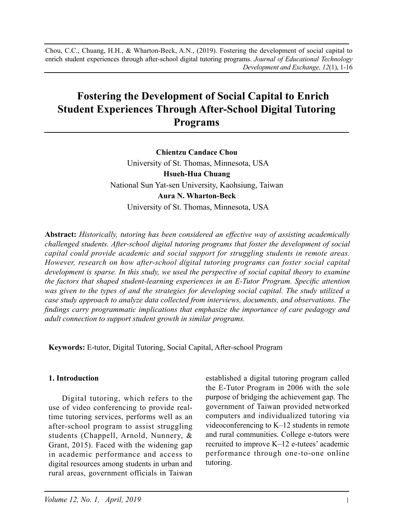Chou, C.C., Chuang, H.H., & Wharton-Beck, A.N., (2019). Fostering the development of social capital to enrich student experiences through after-school digital tutoring programs. *Journal of Educational Technology Development and Exchange, 12*(1), 1-16

## **Fostering the Development of Social Capital to Enrich Student Experiences Through After-School Digital Tutoring Programs**

**Chientzu Candace Chou** University of St. Thomas, Minnesota, USA **Hsueh-Hua Chuang** National Sun Yat-sen University, Kaohsiung, Taiwan **Aura N. Wharton-Beck** University of St. Thomas, Minnesota, USA

**Abstract:** *Historically, tutoring has been considered an effective way of assisting academically challenged students. After-school digital tutoring programs that foster the development of social capital could provide academic and social support for struggling students in remote areas. However, research on how after-school digital tutoring programs can foster social capital development is sparse. In this study, we used the perspective of social capital theory to examine the factors that shaped student-learning experiences in an E-Tutor Program. Specific attention was given to the types of and the strategies for developing social capital. The study utilized a case study approach to analyze data collected from interviews, documents, and observations. The findings carry programmatic implications that emphasize the importance of care pedagogy and adult connection to support student growth in similar programs.*

**Keywords:** E-tutor, Digital Tutoring, Social Capital, After-school Program

#### **1. Introduction**

Digital tutoring, which refers to the use of video conferencing to provide realtime tutoring services, performs well as an after-school program to assist struggling students (Chappell, Arnold, Nunnery, & Grant, 2015). Faced with the widening gap in academic performance and access to digital resources among students in urban and rural areas, government officials in Taiwan

established a digital tutoring program called the E-Tutor Program in 2006 with the sole purpose of bridging the achievement gap. The government of Taiwan provided networked computers and individualized tutoring via videoconferencing to K–12 students in remote and rural communities. College e-tutors were recruited to improve K–12 e-tutees' academic performance through one-to-one online tutoring.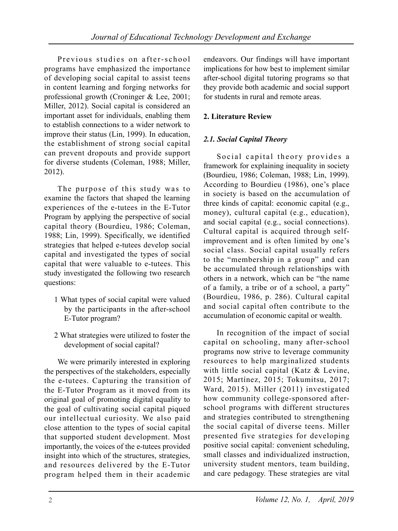Previous studies on after-school programs have emphasized the importance of developing social capital to assist teens in content learning and forging networks for professional growth (Croninger & Lee, 2001; Miller, 2012). Social capital is considered an important asset for individuals, enabling them to establish connections to a wider network to improve their status (Lin, 1999). In education, the establishment of strong social capital can prevent dropouts and provide support for diverse students (Coleman, 1988; Miller, 2012).

The purpose of this study was to examine the factors that shaped the learning experiences of the e-tutees in the E-Tutor Program by applying the perspective of social capital theory (Bourdieu, 1986; Coleman, 1988; Lin, 1999). Specifically, we identified strategies that helped e-tutees develop social capital and investigated the types of social capital that were valuable to e-tutees. This study investigated the following two research questions:

- 1 What types of social capital were valued by the participants in the after-school E-Tutor program?
- 2 What strategies were utilized to foster the development of social capital?

We were primarily interested in exploring the perspectives of the stakeholders, especially the e-tutees. Capturing the transition of the E-Tutor Program as it moved from its original goal of promoting digital equality to the goal of cultivating social capital piqued our intellectual curiosity. We also paid close attention to the types of social capital that supported student development. Most importantly, the voices of the e-tutees provided insight into which of the structures, strategies, and resources delivered by the E-Tutor program helped them in their academic

endeavors. Our findings will have important implications for how best to implement similar after-school digital tutoring programs so that they provide both academic and social support for students in rural and remote areas.

## **2. Literature Review**

### *2.1. Social Capital Theory*

Social capital theory provides a framework for explaining inequality in society (Bourdieu, 1986; Coleman, 1988; Lin, 1999). According to Bourdieu (1986), one's place in society is based on the accumulation of three kinds of capital: economic capital (e.g., money), cultural capital (e.g., education), and social capital (e.g., social connections). Cultural capital is acquired through selfimprovement and is often limited by one's social class. Social capital usually refers to the "membership in a group" and can be accumulated through relationships with others in a network, which can be "the name of a family, a tribe or of a school, a party" (Bourdieu, 1986, p. 286). Cultural capital and social capital often contribute to the accumulation of economic capital or wealth.

In recognition of the impact of social capital on schooling, many after-school programs now strive to leverage community resources to help marginalized students with little social capital (Katz & Levine, 2015; Martínez, 2015; Tokumitsu, 2017; Ward, 2015). Miller (2011) investigated how community college-sponsored afterschool programs with different structures and strategies contributed to strengthening the social capital of diverse teens. Miller presented five strategies for developing positive social capital: convenient scheduling, small classes and individualized instruction, university student mentors, team building, and care pedagogy. These strategies are vital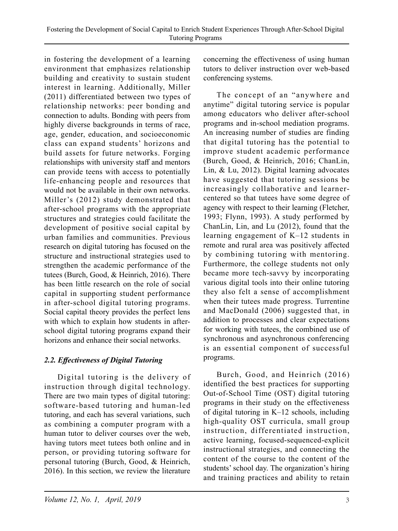in fostering the development of a learning environment that emphasizes relationship building and creativity to sustain student interest in learning. Additionally, Miller (2011) differentiated between two types of relationship networks: peer bonding and connection to adults. Bonding with peers from highly diverse backgrounds in terms of race, age, gender, education, and socioeconomic class can expand students' horizons and build assets for future networks. Forging relationships with university staff and mentors can provide teens with access to potentially life-enhancing people and resources that would not be available in their own networks. Miller's (2012) study demonstrated that after-school programs with the appropriate structures and strategies could facilitate the development of positive social capital by urban families and communities. Previous research on digital tutoring has focused on the structure and instructional strategies used to strengthen the academic performance of the tutees (Burch, Good, & Heinrich, 2016). There has been little research on the role of social capital in supporting student performance in after-school digital tutoring programs. Social capital theory provides the perfect lens with which to explain how students in afterschool digital tutoring programs expand their horizons and enhance their social networks.

## *2.2. Effectiveness of Digital Tutoring*

Digital tutoring is the delivery of instruction through digital technology. There are two main types of digital tutoring: software-based tutoring and human-led tutoring, and each has several variations, such as combining a computer program with a human tutor to deliver courses over the web, having tutors meet tutees both online and in person, or providing tutoring software for personal tutoring (Burch, Good, & Heinrich, 2016). In this section, we review the literature

concerning the effectiveness of using human tutors to deliver instruction over web-based conferencing systems.

The concept of an "anywhere and anytime" digital tutoring service is popular among educators who deliver after-school programs and in-school mediation programs. An increasing number of studies are finding that digital tutoring has the potential to improve student academic performance (Burch, Good, & Heinrich, 2016; ChanLin, Lin, & Lu, 2012). Digital learning advocates have suggested that tutoring sessions be increasingly collaborative and learnercentered so that tutees have some degree of agency with respect to their learning (Fletcher, 1993; Flynn, 1993). A study performed by ChanLin, Lin, and Lu (2012), found that the learning engagement of K–12 students in remote and rural area was positively affected by combining tutoring with mentoring. Furthermore, the college students not only became more tech-savvy by incorporating various digital tools into their online tutoring they also felt a sense of accomplishment when their tutees made progress. Turrentine and MacDonald (2006) suggested that, in addition to processes and clear expectations for working with tutees, the combined use of synchronous and asynchronous conferencing is an essential component of successful programs.

Burch, Good, and Heinrich (2016) identified the best practices for supporting Out-of-School Time (OST) digital tutoring programs in their study on the effectiveness of digital tutoring in K–12 schools, including high-quality OST curricula, small group instruction, differentiated instruction, active learning, focused-sequenced-explicit instructional strategies, and connecting the content of the course to the content of the students' school day. The organization's hiring and training practices and ability to retain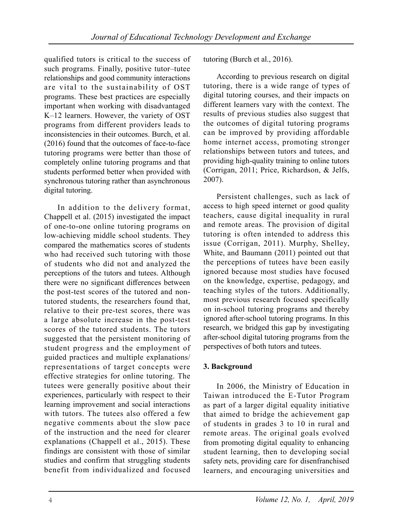qualified tutors is critical to the success of such programs. Finally, positive tutor–tutee relationships and good community interactions are vital to the sustainability of OST programs. These best practices are especially important when working with disadvantaged  $K-12$  learners. However, the variety of OST programs from different providers leads to inconsistencies in their outcomes. Burch, et al. (2016) found that the outcomes of face-to-face tutoring programs were better than those of completely online tutoring programs and that students performed better when provided with synchronous tutoring rather than asynchronous digital tutoring.

In addition to the delivery format, Chappell et al. (2015) investigated the impact of one-to-one online tutoring programs on low-achieving middle school students. They compared the mathematics scores of students who had received such tutoring with those of students who did not and analyzed the perceptions of the tutors and tutees. Although there were no significant differences between the post-test scores of the tutored and nontutored students, the researchers found that, relative to their pre-test scores, there was a large absolute increase in the post-test scores of the tutored students. The tutors suggested that the persistent monitoring of student progress and the employment of guided practices and multiple explanations/ representations of target concepts were effective strategies for online tutoring. The tutees were generally positive about their experiences, particularly with respect to their learning improvement and social interactions with tutors. The tutees also offered a few negative comments about the slow pace of the instruction and the need for clearer explanations (Chappell et al., 2015). These findings are consistent with those of similar studies and confirm that struggling students benefit from individualized and focused

tutoring (Burch et al., 2016).

According to previous research on digital tutoring, there is a wide range of types of digital tutoring courses, and their impacts on different learners vary with the context. The results of previous studies also suggest that the outcomes of digital tutoring programs can be improved by providing affordable home internet access, promoting stronger relationships between tutors and tutees, and providing high-quality training to online tutors (Corrigan, 2011; Price, Richardson, & Jelfs,  $2007$ ).

Persistent challenges, such as lack of access to high speed internet or good quality teachers, cause digital inequality in rural and remote areas. The provision of digital tutoring is often intended to address this issue (Corrigan, 2011). Murphy, Shelley, White, and Baumann (2011) pointed out that the perceptions of tutees have been easily ignored because most studies have focused on the knowledge, expertise, pedagogy, and teaching styles of the tutors. Additionally, most previous research focused specifically on in-school tutoring programs and thereby ignored after-school tutoring programs. In this research, we bridged this gap by investigating after-school digital tutoring programs from the perspectives of both tutors and tutees.

## **3. Background**

In 2006, the Ministry of Education in Taiwan introduced the E-Tutor Program as part of a larger digital equality initiative that aimed to bridge the achievement gap of students in grades  $\overline{3}$  to 10 in rural and remote areas. The original goals evolved from promoting digital equality to enhancing student learning, then to developing social safety nets, providing care for disenfranchised learners, and encouraging universities and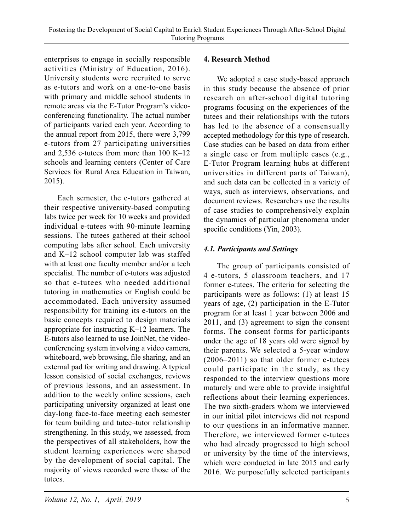enterprises to engage in socially responsible activities (Ministry of Education, 2016). University students were recruited to serve as e-tutors and work on a one-to-one basis with primary and middle school students in remote areas via the E-Tutor Program's videoconferencing functionality. The actual number of participants varied each year. According to the annual report from 2015, there were 3,799 e-tutors from 27 participating universities and 2,536 e-tutees from more than 100 K–12 schools and learning centers (Center of Care Services for Rural Area Education in Taiwan, 2015).

Each semester, the e-tutors gathered at their respective university-based computing labs twice per week for 10 weeks and provided individual e-tutees with 90-minute learning sessions. The tutees gathered at their school computing labs after school. Each university and K–12 school computer lab was staffed with at least one faculty member and/or a tech specialist. The number of e-tutors was adjusted so that e-tutees who needed additional tutoring in mathematics or English could be accommodated. Each university assumed responsibility for training its e-tutors on the basic concepts required to design materials appropriate for instructing K–12 learners. The E-tutors also learned to use JoinNet, the videoconferencing system involving a video camera, whiteboard, web browsing, file sharing, and an external pad for writing and drawing. A typical lesson consisted of social exchanges, reviews of previous lessons, and an assessment. In addition to the weekly online sessions, each participating university organized at least one day-long face-to-face meeting each semester for team building and tutee–tutor relationship strengthening. In this study, we assessed, from the perspectives of all stakeholders, how the student learning experiences were shaped by the development of social capital. The majority of views recorded were those of the tutees.

#### **4. Research Method**

We adopted a case study-based approach in this study because the absence of prior research on after-school digital tutoring programs focusing on the experiences of the tutees and their relationships with the tutors has led to the absence of a consensually accepted methodology for this type of research. Case studies can be based on data from either a single case or from multiple cases (e.g., E-Tutor Program learning hubs at different universities in different parts of Taiwan), and such data can be collected in a variety of ways, such as interviews, observations, and document reviews. Researchers use the results of case studies to comprehensively explain the dynamics of particular phenomena under specific conditions (Yin, 2003).

#### *4.1. Participants and Settings*

The group of participants consisted of 4 e-tutors, 5 classroom teachers, and 17 former e-tutees. The criteria for selecting the participants were as follows: (1) at least 15 years of age, (2) participation in the E-Tutor program for at least 1 year between 2006 and 2011, and (3) agreement to sign the consent forms. The consent forms for participants under the age of 18 years old were signed by their parents. We selected a 5-year window (2006–2011) so that older former e-tutees could participate in the study, as they responded to the interview questions more maturely and were able to provide insightful reflections about their learning experiences. The two sixth-graders whom we interviewed in our initial pilot interviews did not respond to our questions in an informative manner. Therefore, we interviewed former e-tutees who had already progressed to high school or university by the time of the interviews, which were conducted in late 2015 and early 2016. We purposefully selected participants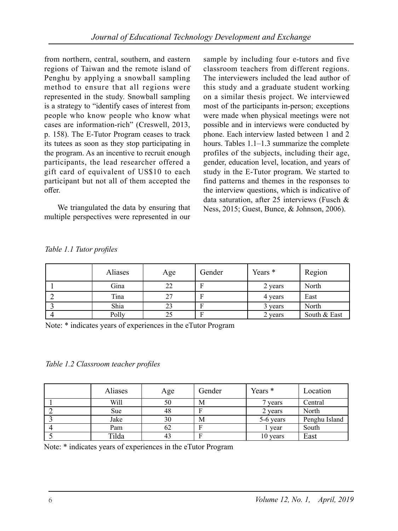from northern, central, southern, and eastern regions of Taiwan and the remote island of Penghu by applying a snowball sampling method to ensure that all regions were represented in the study. Snowball sampling is a strategy to "identify cases of interest from people who know people who know what cases are information-rich" (Creswell, 2013, p. 158). The E-Tutor Program ceases to track its tutees as soon as they stop participating in the program. As an incentive to recruit enough participants, the lead researcher offered a gift card of equivalent of US\$10 to each participant but not all of them accepted the offer.

We triangulated the data by ensuring that multiple perspectives were represented in our

sample by including four e-tutors and five classroom teachers from different regions. The interviewers included the lead author of this study and a graduate student working on a similar thesis project. We interviewed most of the participants in-person; exceptions were made when physical meetings were not possible and in interviews were conducted by phone. Each interview lasted between 1 and 2 hours. Tables 1.1–1.3 summarize the complete profiles of the subjects, including their age, gender, education level, location, and years of study in the E-Tutor program. We started to find patterns and themes in the responses to the interview questions, which is indicative of data saturation, after 25 interviews (Fusch & Ness, 2015; Guest, Bunce, & Johnson, 2006).

| <b>Aliases</b> | Age | Gender | Years * | Region       |
|----------------|-----|--------|---------|--------------|
| Gina           | 22  | F      | 2 years | North        |
| Tina           | 27  | F      | 4 years | East         |
| Shia           | 23  | F      | 3 years | North        |
| Polly          | 25  | F      | 2 years | South & East |

|  |  |  | Table 1.1 Tutor profiles |
|--|--|--|--------------------------|
|--|--|--|--------------------------|

Note: \* indicates years of experiences in the eTutor Program

*Table 1.2 Classroom teacher profiles*

| Aliases    | Age | Gender | Years *   | Location      |
|------------|-----|--------|-----------|---------------|
| Will       | 50  | М      | 7 years   | Central       |
| <b>Sue</b> | 48  | Е      | 2 years   | North         |
| Jake       | 30  | M      | 5-6 years | Penghu Island |
| Pam        | 62  | Е      | year      | South         |
| Tilda      | 43  | Е      | 10 years  | East          |

|  |  |  | Note: * indicates years of experiences in the eTutor Program |  |  |  |
|--|--|--|--------------------------------------------------------------|--|--|--|
|--|--|--|--------------------------------------------------------------|--|--|--|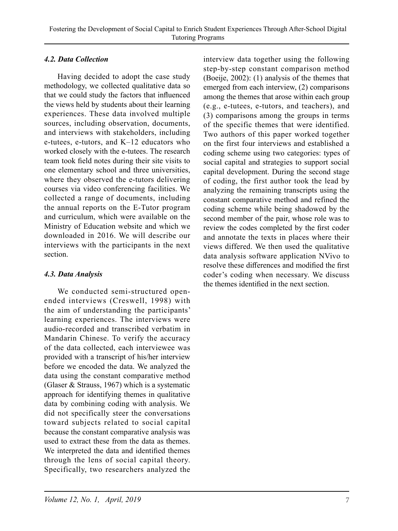### *4.2. Data Collection*

Having decided to adopt the case study methodology, we collected qualitative data so that we could study the factors that influenced the views held by students about their learning experiences. These data involved multiple sources, including observation, documents, and interviews with stakeholders, including e-tutees, e-tutors, and K–12 educators who worked closely with the e-tutees. The research team took field notes during their site visits to one elementary school and three universities, where they observed the e-tutors delivering courses via video conferencing facilities. We collected a range of documents, including the annual reports on the E-Tutor program and curriculum, which were available on the Ministry of Education website and which we downloaded in 2016. We will describe our interviews with the participants in the next section.

#### *4.3. Data Analysis*

We conducted semi-structured openended interviews (Creswell, 1998) with the aim of understanding the participants' learning experiences. The interviews were audio-recorded and transcribed verbatim in Mandarin Chinese. To verify the accuracy of the data collected, each interviewee was provided with a transcript of his/her interview before we encoded the data. We analyzed the data using the constant comparative method (Glaser & Strauss, 1967) which is a systematic approach for identifying themes in qualitative data by combining coding with analysis. We did not specifically steer the conversations toward subjects related to social capital because the constant comparative analysis was used to extract these from the data as themes. We interpreted the data and identified themes through the lens of social capital theory. Specifically, two researchers analyzed the

interview data together using the following step-by-step constant comparison method (Boeije, 2002): (1) analysis of the themes that emerged from each interview, (2) comparisons among the themes that arose within each group (e.g., e-tutees, e-tutors, and teachers), and (3) comparisons among the groups in terms of the specific themes that were identified. Two authors of this paper worked together on the first four interviews and established a coding scheme using two categories: types of social capital and strategies to support social capital development. During the second stage of coding, the first author took the lead by analyzing the remaining transcripts using the constant comparative method and refined the coding scheme while being shadowed by the second member of the pair, whose role was to review the codes completed by the first coder and annotate the texts in places where their views differed. We then used the qualitative data analysis software application NVivo to resolve these differences and modified the first coder's coding when necessary. We discuss the themes identified in the next section.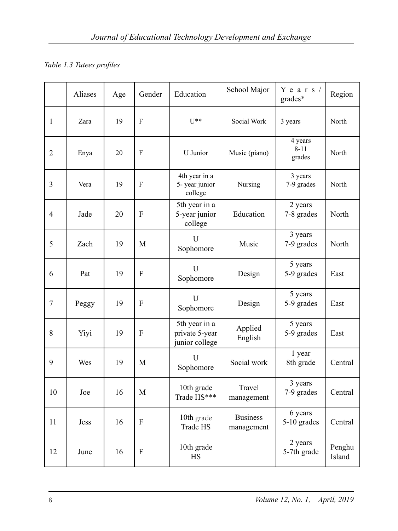## *Table 1.3 Tutees profiles*

|                | Aliases | Age | Gender    | Education                                         | School Major                  | Years/<br>grades*             | Region           |
|----------------|---------|-----|-----------|---------------------------------------------------|-------------------------------|-------------------------------|------------------|
| 1              | Zara    | 19  | F         | $U^{**}$                                          | Social Work                   | 3 years                       | North            |
| $\overline{2}$ | Enya    | 20  | F         | U Junior                                          | Music (piano)                 | 4 years<br>$8 - 11$<br>grades | North            |
| 3              | Vera    | 19  | F         | 4th year in a<br>5- year junior<br>college        | Nursing                       | 3 years<br>7-9 grades         | North            |
| 4              | Jade    | 20  | ${\bf F}$ | 5th year in a<br>5-year junior<br>college         | Education                     | 2 years<br>7-8 grades         | North            |
| 5              | Zach    | 19  | М         | U<br>Sophomore                                    | Music                         | 3 years<br>7-9 grades         | North            |
| 6              | Pat     | 19  | F         | U<br>Sophomore                                    | Design                        | 5 years<br>5-9 grades         | East             |
| 7              | Peggy   | 19  | F         | $\overline{U}$<br>Sophomore                       | Design                        | 5 years<br>5-9 grades         | East             |
| 8              | Yiyi    | 19  | F         | 5th year in a<br>private 5-year<br>junior college | Applied<br>English            | 5 years<br>5-9 grades         | East             |
| 9              | Wes     | 19  | М         | U<br>Sophomore                                    | Social work                   | 1 year<br>8th grade           | Central          |
| 10             | Joe     | 16  | М         | 10th grade<br>Trade HS***                         | Travel<br>management          | 3 years<br>7-9 grades         | Central          |
| 11             | Jess    | 16  | F         | 10th grade<br>Trade HS                            | <b>Business</b><br>management | 6 years<br>5-10 grades        | Central          |
| 12             | June    | 16  | F         | 10th grade<br><b>HS</b>                           |                               | 2 years<br>5-7th grade        | Penghu<br>Island |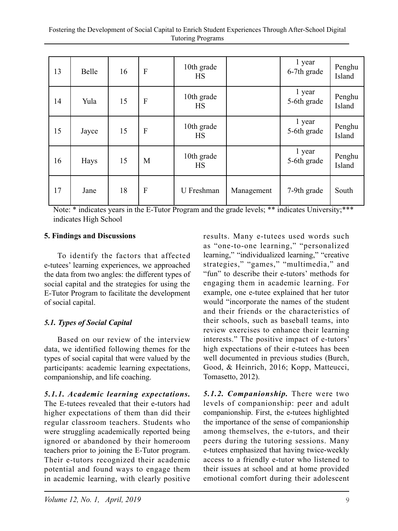| 13 | <b>Belle</b> | 16 | F                         | 10th grade<br>HS        |            | 1 year<br>6-7th grade | Penghu<br>Island |
|----|--------------|----|---------------------------|-------------------------|------------|-----------------------|------------------|
| 14 | Yula         | 15 | $\boldsymbol{\mathrm{F}}$ | 10th grade<br>HS        |            | 1 year<br>5-6th grade | Penghu<br>Island |
| 15 | Jayce        | 15 | $\boldsymbol{\mathrm{F}}$ | 10th grade<br><b>HS</b> |            | 1 year<br>5-6th grade | Penghu<br>Island |
| 16 | Hays         | 15 | M                         | 10th grade<br>HS        |            | 1 year<br>5-6th grade | Penghu<br>Island |
| 17 | Jane         | 18 | $\mathbf{F}$              | U Freshman              | Management | 7-9th grade           | South            |

Note: \* indicates years in the E-Tutor Program and the grade levels; \*\* indicates University;\*\*\* indicates High School

#### **5. Findings and Discussions**

To identify the factors that affected e-tutees' learning experiences, we approached the data from two angles: the different types of social capital and the strategies for using the E-Tutor Program to facilitate the development of social capital.

#### *5.1. Types of Social Capital*

Based on our review of the interview data, we identified following themes for the types of social capital that were valued by the participants: academic learning expectations, companionship, and life coaching.

*5.1.1. Academic learning expectations.* The E-tutees revealed that their e-tutors had higher expectations of them than did their regular classroom teachers. Students who were struggling academically reported being ignored or abandoned by their homeroom teachers prior to joining the E-Tutor program. Their e-tutors recognized their academic potential and found ways to engage them in academic learning, with clearly positive results. Many e-tutees used words such as "one-to-one learning," "personalized learning," "individualized learning," "creative strategies," "games," "multimedia," and "fun" to describe their e-tutors' methods for engaging them in academic learning. For example, one e-tutee explained that her tutor would "incorporate the names of the student and their friends or the characteristics of their schools, such as baseball teams, into review exercises to enhance their learning interests." The positive impact of e-tutors' high expectations of their e-tutees has been well documented in previous studies (Burch, Good, & Heinrich, 2016; Kopp, Matteucci, Tomasetto, 2012).

*5.1.2. Companionship.* There were two levels of companionship: peer and adult companionship. First, the e-tutees highlighted the importance of the sense of companionship among themselves, the e-tutors, and their peers during the tutoring sessions. Many e-tutees emphasized that having twice-weekly access to a friendly e-tutor who listened to their issues at school and at home provided emotional comfort during their adolescent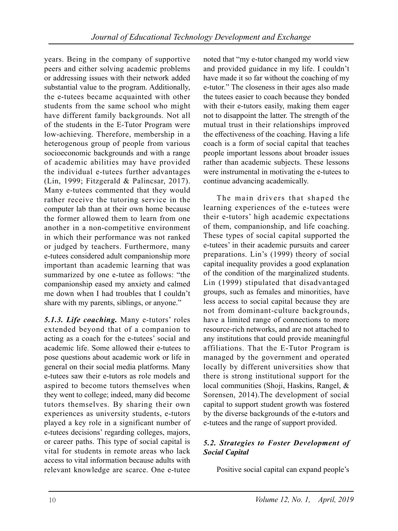years. Being in the company of supportive peers and either solving academic problems or addressing issues with their network added substantial value to the program. Additionally, the e-tutees became acquainted with other students from the same school who might have different family backgrounds. Not all of the students in the E-Tutor Program were low-achieving. Therefore, membership in a heterogenous group of people from various socioeconomic backgrounds and with a range of academic abilities may have provided the individual e-tutees further advantages (Lin, 1999; Fitzgerald & Palincsar, 2017). Many e-tutees commented that they would rather receive the tutoring service in the computer lab than at their own home because the former allowed them to learn from one another in a non-competitive environment in which their performance was not ranked or judged by teachers. Furthermore, many e-tutees considered adult companionship more important than academic learning that was summarized by one e-tutee as follows: "the companionship eased my anxiety and calmed me down when I had troubles that I couldn't share with my parents, siblings, or anyone."

*5.1.3. Life coaching.* Many e-tutors' roles extended beyond that of a companion to acting as a coach for the e-tutees' social and academic life. Some allowed their e-tutees to pose questions about academic work or life in general on their social media platforms. Many e-tutees saw their e-tutors as role models and aspired to become tutors themselves when they went to college; indeed, many did become tutors themselves. By sharing their own experiences as university students, e-tutors played a key role in a significant number of e-tutees decisions' regarding colleges, majors, or career paths. This type of social capital is vital for students in remote areas who lack access to vital information because adults with relevant knowledge are scarce. One e-tutee

noted that "my e-tutor changed my world view and provided guidance in my life. I couldn't have made it so far without the coaching of my e-tutor." The closeness in their ages also made the tutees easier to coach because they bonded with their e-tutors easily, making them eager not to disappoint the latter. The strength of the mutual trust in their relationships improved the effectiveness of the coaching. Having a life coach is a form of social capital that teaches people important lessons about broader issues rather than academic subjects. These lessons were instrumental in motivating the e-tutees to continue advancing academically.

The main drivers that shaped the learning experiences of the e-tutees were their e-tutors' high academic expectations of them, companionship, and life coaching. These types of social capital supported the e-tutees' in their academic pursuits and career preparations. Lin's (1999) theory of social capital inequality provides a good explanation of the condition of the marginalized students. Lin (1999) stipulated that disadvantaged groups, such as females and minorities, have less access to social capital because they are not from dominant-culture backgrounds, have a limited range of connections to more resource-rich networks, and are not attached to any institutions that could provide meaningful affiliations. That the E-Tutor Program is managed by the government and operated locally by different universities show that there is strong institutional support for the local communities (Shoji, Haskins, Rangel, & Sorensen, 2014).The development of social capital to support student growth was fostered by the diverse backgrounds of the e-tutors and e-tutees and the range of support provided.

## *5.2. Strategies to Foster Development of Social Capital*

Positive social capital can expand people's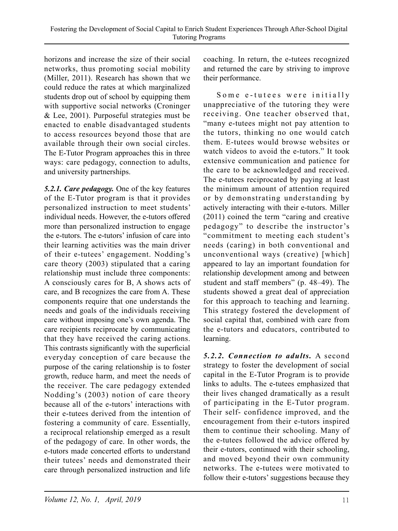horizons and increase the size of their social networks, thus promoting social mobility (Miller, 2011). Research has shown that we could reduce the rates at which marginalized students drop out of school by equipping them with supportive social networks (Croninger & Lee, 2001). Purposeful strategies must be enacted to enable disadvantaged students to access resources beyond those that are available through their own social circles. The E-Tutor Program approaches this in three ways: care pedagogy, connection to adults, and university partnerships.

*5.2.1. Care pedagogy.* One of the key features of the E-Tutor program is that it provides personalized instruction to meet students' individual needs. However, the e-tutors offered more than personalized instruction to engage the e-tutors. The e-tutors' infusion of care into their learning activities was the main driver of their e-tutees' engagement. Nodding's care theory (2003) stipulated that a caring relationship must include three components: A consciously cares for B, A shows acts of care, and B recognizes the care from A. These components require that one understands the needs and goals of the individuals receiving care without imposing one's own agenda. The care recipients reciprocate by communicating that they have received the caring actions. This contrasts significantly with the superficial everyday conception of care because the purpose of the caring relationship is to foster growth, reduce harm, and meet the needs of the receiver. The care pedagogy extended Nodding's (2003) notion of care theory because all of the e-tutors' interactions with their e-tutees derived from the intention of fostering a community of care. Essentially, a reciprocal relationship emerged as a result of the pedagogy of care. In other words, the e-tutors made concerted efforts to understand their tutees' needs and demonstrated their care through personalized instruction and life

coaching. In return, the e-tutees recognized and returned the care by striving to improve their performance.

Some e-tutees were initially unappreciative of the tutoring they were receiving. One teacher observed that, "many e-tutees might not pay attention to the tutors, thinking no one would catch them. E-tutees would browse websites or watch videos to avoid the e-tutors." It took extensive communication and patience for the care to be acknowledged and received. The e-tutees reciprocated by paying at least the minimum amount of attention required or by demonstrating understanding by actively interacting with their e-tutors. Miller (2011) coined the term "caring and creative pedagogy" to describe the instructor's "commitment to meeting each student's needs (caring) in both conventional and unconventional ways (creative) [which] appeared to lay an important foundation for relationship development among and between student and staff members" (p. 48–49). The students showed a great deal of appreciation for this approach to teaching and learning. This strategy fostered the development of social capital that, combined with care from the e-tutors and educators, contributed to learning.

*5.2.2. Connection to adults.* A second strategy to foster the development of social capital in the E-Tutor Program is to provide links to adults. The e-tutees emphasized that their lives changed dramatically as a result of participating in the E-Tutor program. Their self- confidence improved, and the encouragement from their e-tutors inspired them to continue their schooling. Many of the e-tutees followed the advice offered by their e-tutors, continued with their schooling, and moved beyond their own community networks. The e-tutees were motivated to follow their e-tutors' suggestions because they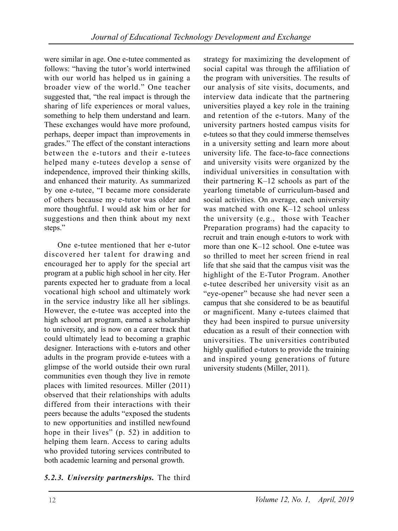were similar in age. One e-tutee commented as follows: "having the tutor's world intertwined with our world has helped us in gaining a broader view of the world." One teacher suggested that, "the real impact is through the sharing of life experiences or moral values, something to help them understand and learn. These exchanges would have more profound, perhaps, deeper impact than improvements in grades." The effect of the constant interactions between the e-tutors and their e-tutees helped many e-tutees develop a sense of independence, improved their thinking skills, and enhanced their maturity. As summarized by one e-tutee, "I became more considerate of others because my e-tutor was older and more thoughtful. I would ask him or her for suggestions and then think about my next steps."

One e-tutee mentioned that her e-tutor discovered her talent for drawing and encouraged her to apply for the special art program at a public high school in her city. Her parents expected her to graduate from a local vocational high school and ultimately work in the service industry like all her siblings. However, the e-tutee was accepted into the high school art program, earned a scholarship to university, and is now on a career track that could ultimately lead to becoming a graphic designer. Interactions with e-tutors and other adults in the program provide e-tutees with a glimpse of the world outside their own rural communities even though they live in remote places with limited resources. Miller (2011) observed that their relationships with adults differed from their interactions with their peers because the adults "exposed the students to new opportunities and instilled newfound hope in their lives" (p. 52) in addition to helping them learn. Access to caring adults who provided tutoring services contributed to both academic learning and personal growth.

## *5.2.3. University partnerships.* The third

strategy for maximizing the development of social capital was through the affiliation of the program with universities. The results of our analysis of site visits, documents, and interview data indicate that the partnering universities played a key role in the training and retention of the e-tutors. Many of the university partners hosted campus visits for e-tutees so that they could immerse themselves in a university setting and learn more about university life. The face-to-face connections and university visits were organized by the individual universities in consultation with their partnering K–12 schools as part of the yearlong timetable of curriculum-based and social activities. On average, each university was matched with one K–12 school unless the university (e.g., those with Teacher Preparation programs) had the capacity to recruit and train enough e-tutors to work with more than one K–12 school. One e-tutee was so thrilled to meet her screen friend in real life that she said that the campus visit was the highlight of the E-Tutor Program. Another e-tutee described her university visit as an "eye-opener" because she had never seen a campus that she considered to be as beautiful or magnificent. Many e-tutees claimed that they had been inspired to pursue university education as a result of their connection with universities. The universities contributed highly qualified e-tutors to provide the training and inspired young generations of future university students (Miller, 2011).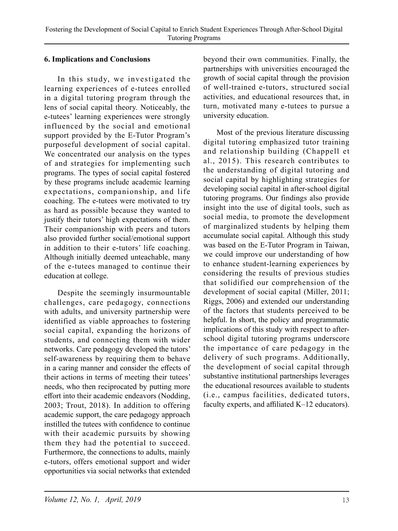#### **6. Implications and Conclusions**

In this study, we investigated the learning experiences of e-tutees enrolled in a digital tutoring program through the lens of social capital theory. Noticeably, the e-tutees' learning experiences were strongly influenced by the social and emotional support provided by the E-Tutor Program's purposeful development of social capital. We concentrated our analysis on the types of and strategies for implementing such programs. The types of social capital fostered by these programs include academic learning expectations, companionship, and life coaching. The e-tutees were motivated to try as hard as possible because they wanted to justify their tutors' high expectations of them. Their companionship with peers and tutors also provided further social/emotional support in addition to their e-tutors' life coaching. Although initially deemed unteachable, many of the e-tutees managed to continue their education at college.

Despite the seemingly insurmountable challenges, care pedagogy, connections with adults, and university partnership were identified as viable approaches to fostering social capital, expanding the horizons of students, and connecting them with wider networks. Care pedagogy developed the tutors' self-awareness by requiring them to behave in a caring manner and consider the effects of their actions in terms of meeting their tutees' needs, who then reciprocated by putting more effort into their academic endeavors (Nodding, 2003; Trout, 2018). In addition to offering academic support, the care pedagogy approach instilled the tutees with confidence to continue with their academic pursuits by showing them they had the potential to succeed. Furthermore, the connections to adults, mainly e-tutors, offers emotional support and wider opportunities via social networks that extended beyond their own communities. Finally, the partnerships with universities encouraged the growth of social capital through the provision of well-trained e-tutors, structured social activities, and educational resources that, in turn, motivated many e-tutees to pursue a university education.

Most of the previous literature discussing digital tutoring emphasized tutor training and relationship building (Chappell et al., 2015). This research contributes to the understanding of digital tutoring and social capital by highlighting strategies for developing social capital in after-school digital tutoring programs. Our findings also provide insight into the use of digital tools, such as social media, to promote the development of marginalized students by helping them accumulate social capital. Although this study was based on the E-Tutor Program in Taiwan, we could improve our understanding of how to enhance student-learning experiences by considering the results of previous studies that solidified our comprehension of the development of social capital (Miller, 2011; Riggs, 2006) and extended our understanding of the factors that students perceived to be helpful. In short, the policy and programmatic implications of this study with respect to afterschool digital tutoring programs underscore the importance of care pedagogy in the delivery of such programs. Additionally, the development of social capital through substantive institutional partnerships leverages the educational resources available to students (i.e., campus facilities, dedicated tutors, faculty experts, and affiliated K–12 educators).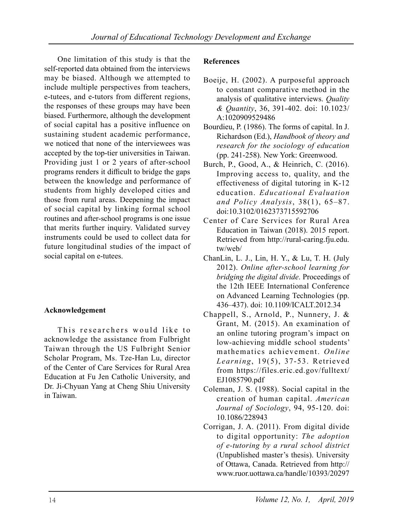One limitation of this study is that the self-reported data obtained from the interviews may be biased. Although we attempted to include multiple perspectives from teachers, e-tutees, and e-tutors from different regions, the responses of these groups may have been biased. Furthermore, although the development of social capital has a positive influence on sustaining student academic performance, we noticed that none of the interviewees was accepted by the top-tier universities in Taiwan. Providing just 1 or 2 years of after-school programs renders it difficult to bridge the gaps between the knowledge and performance of students from highly developed cities and those from rural areas. Deepening the impact of social capital by linking formal school routines and after-school programs is one issue that merits further inquiry. Validated survey instruments could be used to collect data for future longitudinal studies of the impact of social capital on e-tutees.

#### **Acknowledgement**

This researchers would like to acknowledge the assistance from Fulbright Taiwan through the US Fulbright Senior Scholar Program, Ms. Tze-Han Lu, director of the Center of Care Services for Rural Area Education at Fu Jen Catholic University, and Dr. Ji-Chyuan Yang at Cheng Shiu University in Taiwan.

#### **References**

- Boeije, H. (2002). A purposeful approach to constant comparative method in the analysis of qualitative interviews. *Quality & Quantity*, 36, 391-402. doi: 10.1023/ A:1020909529486
- Bourdieu, P. (1986). The forms of capital. In J. Richardson (Ed.), *Handbook of theory and research for the sociology of education*  (pp. 241-258). New York: Greenwood.
- Burch, P., Good, A., & Heinrich, C. (2016). Improving access to, quality, and the effectiveness of digital tutoring in K-12 education. *Educational Evaluation and Policy Analysis*, 38(1), 65–87. doi:10.3102/0162373715592706
- Center of Care Services for Rural Area Education in Taiwan (2018). 2015 report. Retrieved from http://rural-caring.fju.edu. tw/web/
- ChanLin, L. J., Lin, H. Y., & Lu, T. H. (July 2012). *Online after-school learning for bridging the digital divide*. Proceedings of the 12th IEEE International Conference on Advanced Learning Technologies (pp. 436–437). doi: 10.1109/ICALT.2012.34
- Chappell, S., Arnold, P., Nunnery, J. & Grant, M. (2015). An examination of an online tutoring program's impact on low-achieving middle school students' mathematics achievement. *Online Learning*, 19(5), 37-53. Retrieved from https://files.eric.ed.gov/fulltext/ EJ1085790.pdf
- Coleman, J. S. (1988). Social capital in the creation of human capital. *American Journal of Sociology*, 94, 95-120. doi: 10.1086/228943
- Corrigan, J. A. (2011). From digital divide to digital opportunity: *The adoption of e-tutoring by a rural school district*  (Unpublished master's thesis). University of Ottawa, Canada. Retrieved from http:// www.ruor.uottawa.ca/handle/10393/20297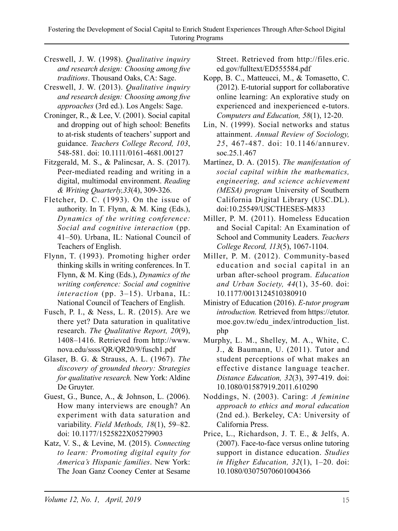- Creswell, J. W. (1998). *Qualitative inquiry and research design: Choosing among five traditions*. Thousand Oaks, CA: Sage.
- Creswell, J. W. (2013). *Qualitative inquiry and research design: Choosing among five approaches* (3rd ed.). Los Angels: Sage.
- Croninger, R., & Lee, V. (2001). Social capital and dropping out of high school: Benefits to at-risk students of teachers' support and guidance. *Teachers College Record, 103*, 548-581. doi: 10.1111/0161-4681.00127
- Fitzgerald, M. S., & Palincsar, A. S. (2017). Peer-mediated reading and writing in a digital, multimodal environment. *Reading & Writing Quarterly,33*(4), 309-326.
- Fletcher, D. C. (1993). On the issue of authority. In T. Flynn, & M. King (Eds.), *Dynamics of the writing conference: Social and cognitive interaction* (pp. 41–50). Urbana, IL: National Council of Teachers of English.
- Flynn, T. (1993). Promoting higher order thinking skills in writing conferences. In T. Flynn, & M. King (Eds.), *Dynamics of the writing conference: Social and cognitive interaction* (pp. 3–15). Urbana, IL: National Council of Teachers of English.
- Fusch, P. I., & Ness, L. R. (2015). Are we there yet? Data saturation in qualitative research. *The Qualitative Report, 20*(9), 1408–1416. Retrieved from http://www. nova.edu/ssss/QR/QR20/9/fusch1.pdf
- Glaser, B. G. & Strauss, A. L. (1967). *The discovery of grounded theory: Strategies for qualitative research.* New York: Aldine De Gruyter.
- Guest, G., Bunce, A., & Johnson, L. (2006). How many interviews are enough? An experiment with data saturation and variability. *Field Methods, 18*(1), 59–82. doi: 10.1177/1525822X05279903
- Katz, V. S., & Levine, M. (2015). *Connecting to learn: Promoting digital equity for America's Hispanic families*. New York: The Joan Ganz Cooney Center at Sesame

Street. Retrieved from http://files.eric. ed.gov/fulltext/ED555584.pdf

- Kopp, B. C., Matteucci, M., & Tomasetto, C. (2012). E-tutorial support for collaborative online learning: An explorative study on experienced and inexperienced e-tutors. *Computers and Education, 58*(1), 12-20.
- Lin, N. (1999). Social networks and status attainment. *Annual Review of Sociology, 25*, 467-487. doi: 10.1146/annurev. soc.25.1.467
- Martínez, D. A. (2015). *The manifestation of social capital within the mathematics, engineering, and science achievement (MESA) program* University of Southern California Digital Library (USC.DL). doi:10.25549/USCTHESES-M833
- Miller, P. M. (2011). Homeless Education and Social Capital: An Examination of School and Community Leaders. *Teachers College Record, 113*(5), 1067-1104.
- Miller, P. M. (2012). Community-based education and social capital in an urban after-school program. *Education and Urban Society, 44*(1), 35-60. doi: 10.1177/0013124510380910
- Ministry of Education (2016). *E-tutor program introduction.* Retrieved from https://etutor. moe.gov.tw/edu\_index/introduction\_list. php
- Murphy, L. M., Shelley, M. A., White, C. J., & Baumann, U. (2011). Tutor and student perceptions of what makes an effective distance language teacher. *Distance Education, 32*(3), 397-419. doi: 10.1080/01587919.2011.610290
- Noddings, N. (2003). Caring: *A feminine approach to ethics and moral education*  (2nd ed.). Berkeley, CA: University of California Press.
- Price, L., Richardson, J. T. E., & Jelfs, A. (2007). Face-to-face versus online tutoring support in distance education. *Studies in Higher Education, 32*(1), 1–20. doi: 10.1080/03075070601004366